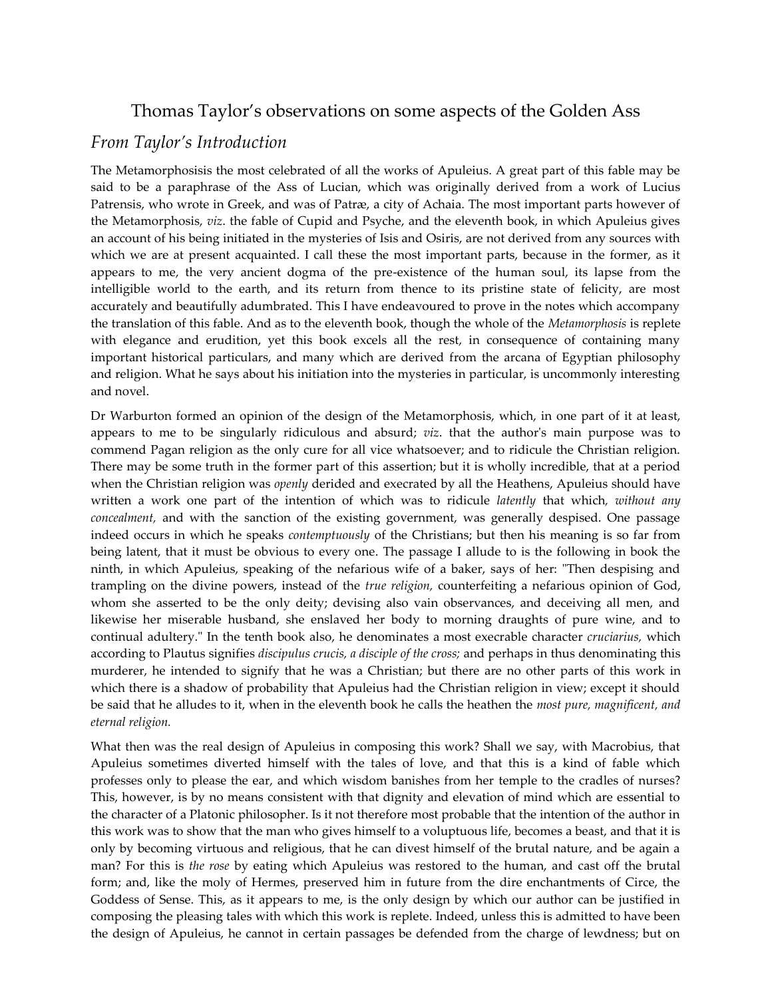# Thomas Taylor's observations on some aspects of the Golden Ass

### *From Taylor's Introduction*

The Metamorphosisis the most celebrated of all the works of Apuleius. A great part of this fable may be said to be a paraphrase of the Ass of Lucian, which was originally derived from a work of Lucius Patrensis, who wrote in Greek, and was of Patræ, a city of Achaia. The most important parts however of the Metamorphosis, *viz*. the fable of Cupid and Psyche, and the eleventh book, in which Apuleius gives an account of his being initiated in the mysteries of Isis and Osiris, are not derived from any sources with which we are at present acquainted. I call these the most important parts, because in the former, as it appears to me, the very ancient dogma of the pre-existence of the human soul, its lapse from the intelligible world to the earth, and its return from thence to its pristine state of felicity, are most accurately and beautifully adumbrated. This I have endeavoured to prove in the notes which accompany the translation of this fable. And as to the eleventh book, though the whole of the *Metamorphosis* is replete with elegance and erudition, yet this book excels all the rest, in consequence of containing many important historical particulars, and many which are derived from the arcana of Egyptian philosophy and religion. What he says about his initiation into the mysteries in particular, is uncommonly interesting and novel.

Dr Warburton formed an opinion of the design of the Metamorphosis, which, in one part of it at least, appears to me to be singularly ridiculous and absurd; *viz*. that the author's main purpose was to commend Pagan religion as the only cure for all vice whatsoever; and to ridicule the Christian religion. There may be some truth in the former part of this assertion; but it is wholly incredible, that at a period when the Christian religion was *openly* derided and execrated by all the Heathens, Apuleius should have written a work one part of the intention of which was to ridicule *latently* that which*, without any concealment,* and with the sanction of the existing government, was generally despised. One passage indeed occurs in which he speaks *contemptuously* of the Christians; but then his meaning is so far from being latent, that it must be obvious to every one. The passage I allude to is the following in book the ninth, in which Apuleius, speaking of the nefarious wife of a baker, says of her: "Then despising and trampling on the divine powers, instead of the *true religion,* counterfeiting a nefarious opinion of God, whom she asserted to be the only deity; devising also vain observances, and deceiving all men, and likewise her miserable husband, she enslaved her body to morning draughts of pure wine, and to continual adultery." In the tenth book also, he denominates a most execrable character *cruciarius,* which according to Plautus signifies *discipulus crucis, a disciple of the cross;* and perhaps in thus denominating this murderer, he intended to signify that he was a Christian; but there are no other parts of this work in which there is a shadow of probability that Apuleius had the Christian religion in view; except it should be said that he alludes to it, when in the eleventh book he calls the heathen the *most pure, magnificent, and eternal religion.* 

What then was the real design of Apuleius in composing this work? Shall we say, with Macrobius, that Apuleius sometimes diverted himself with the tales of love, and that this is a kind of fable which professes only to please the ear, and which wisdom banishes from her temple to the cradles of nurses? This, however, is by no means consistent with that dignity and elevation of mind which are essential to the character of a Platonic philosopher. Is it not therefore most probable that the intention of the author in this work was to show that the man who gives himself to a voluptuous life, becomes a beast, and that it is only by becoming virtuous and religious, that he can divest himself of the brutal nature, and be again a man? For this is *the rose* by eating which Apuleius was restored to the human, and cast off the brutal form; and, like the moly of Hermes, preserved him in future from the dire enchantments of Circe, the Goddess of Sense. This, as it appears to me, is the only design by which our author can be justified in composing the pleasing tales with which this work is replete. Indeed, unless this is admitted to have been the design of Apuleius, he cannot in certain passages be defended from the charge of lewdness; but on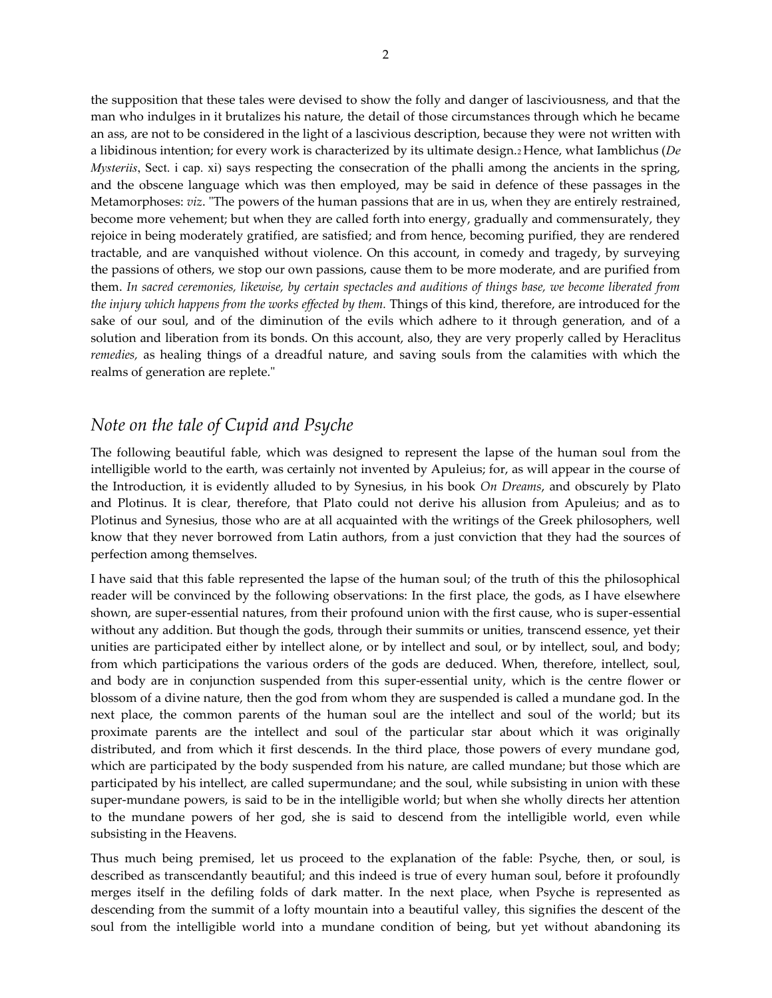the supposition that these tales were devised to show the folly and danger of lasciviousness, and that the man who indulges in it brutalizes his nature, the detail of those circumstances through which he became an ass, are not to be considered in the light of a lascivious description, because they were not written with a libidinous intention; for every work is characterized by its ultimate design.2 Hence, what Iamblichus (*De Mysteriis*, Sect. i cap. xi) says respecting the consecration of the phalli among the ancients in the spring, and the obscene language which was then employed, may be said in defence of these passages in the Metamorphoses: *viz*. "The powers of the human passions that are in us, when they are entirely restrained, become more vehement; but when they are called forth into energy, gradually and commensurately, they rejoice in being moderately gratified, are satisfied; and from hence, becoming purified, they are rendered tractable, and are vanquished without violence. On this account, in comedy and tragedy, by surveying the passions of others, we stop our own passions, cause them to be more moderate, and are purified from them. *In sacred ceremonies, likewise, by certain spectacles and auditions of things base, we become liberated from the injury which happens from the works effected by them.* Things of this kind, therefore, are introduced for the sake of our soul, and of the diminution of the evils which adhere to it through generation, and of a solution and liberation from its bonds. On this account, also, they are very properly called by Heraclitus *remedies,* as healing things of a dreadful nature, and saving souls from the calamities with which the realms of generation are replete."

## *Note on the tale of Cupid and Psyche*

The following beautiful fable, which was designed to represent the lapse of the human soul from the intelligible world to the earth, was certainly not invented by Apuleius; for, as will appear in the course of the Introduction, it is evidently alluded to by Synesius, in his book *On Dreams*, and obscurely by Plato and Plotinus. It is clear, therefore, that Plato could not derive his allusion from Apuleius; and as to Plotinus and Synesius, those who are at all acquainted with the writings of the Greek philosophers, well know that they never borrowed from Latin authors, from a just conviction that they had the sources of perfection among themselves.

I have said that this fable represented the lapse of the human soul; of the truth of this the philosophical reader will be convinced by the following observations: In the first place, the gods, as I have elsewhere shown, are super-essential natures, from their profound union with the first cause, who is super-essential without any addition. But though the gods, through their summits or unities, transcend essence, yet their unities are participated either by intellect alone, or by intellect and soul, or by intellect, soul, and body; from which participations the various orders of the gods are deduced. When, therefore, intellect, soul, and body are in conjunction suspended from this super-essential unity, which is the centre flower or blossom of a divine nature, then the god from whom they are suspended is called a mundane god. In the next place, the common parents of the human soul are the intellect and soul of the world; but its proximate parents are the intellect and soul of the particular star about which it was originally distributed, and from which it first descends. In the third place, those powers of every mundane god, which are participated by the body suspended from his nature, are called mundane; but those which are participated by his intellect, are called supermundane; and the soul, while subsisting in union with these super-mundane powers, is said to be in the intelligible world; but when she wholly directs her attention to the mundane powers of her god, she is said to descend from the intelligible world, even while subsisting in the Heavens.

Thus much being premised, let us proceed to the explanation of the fable: Psyche, then, or soul, is described as transcendantly beautiful; and this indeed is true of every human soul, before it profoundly merges itself in the defiling folds of dark matter. In the next place, when Psyche is represented as descending from the summit of a lofty mountain into a beautiful valley, this signifies the descent of the soul from the intelligible world into a mundane condition of being, but yet without abandoning its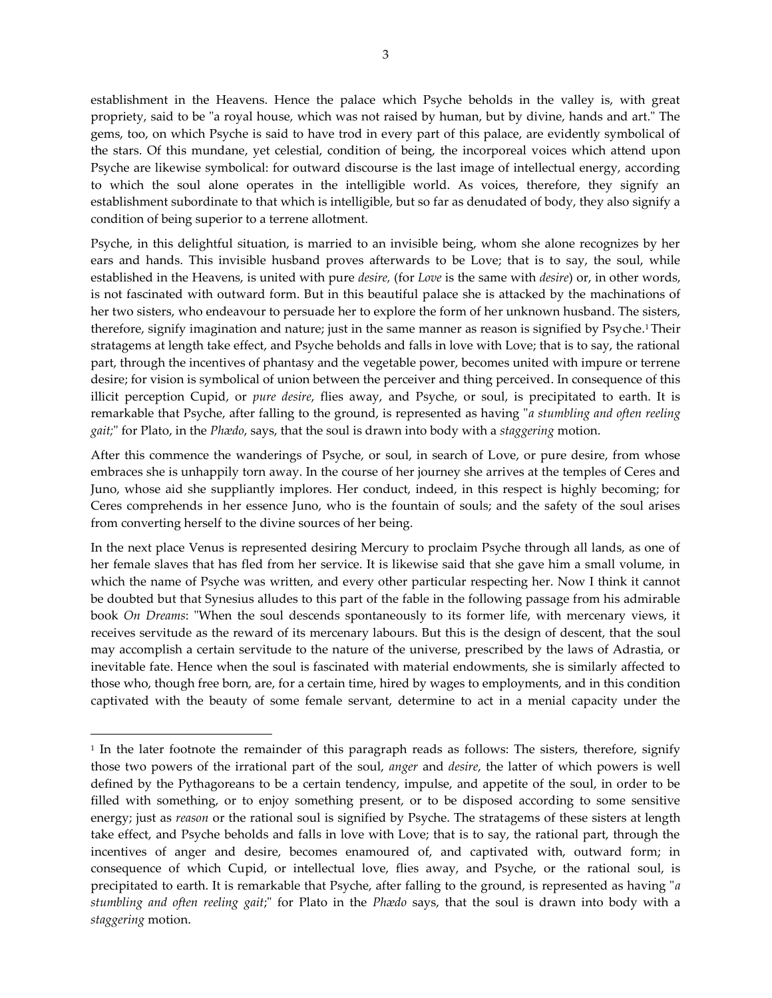establishment in the Heavens. Hence the palace which Psyche beholds in the valley is, with great propriety, said to be "a royal house, which was not raised by human, but by divine, hands and art." The gems, too, on which Psyche is said to have trod in every part of this palace, are evidently symbolical of the stars. Of this mundane, yet celestial, condition of being, the incorporeal voices which attend upon Psyche are likewise symbolical: for outward discourse is the last image of intellectual energy, according to which the soul alone operates in the intelligible world. As voices, therefore, they signify an establishment subordinate to that which is intelligible, but so far as denudated of body, they also signify a condition of being superior to a terrene allotment.

Psyche, in this delightful situation, is married to an invisible being, whom she alone recognizes by her ears and hands. This invisible husband proves afterwards to be Love; that is to say, the soul, while established in the Heavens, is united with pure *desire,* (for *Love* is the same with *desire*) or, in other words, is not fascinated with outward form. But in this beautiful palace she is attacked by the machinations of her two sisters, who endeavour to persuade her to explore the form of her unknown husband. The sisters, therefore, signify imagination and nature; just in the same manner as reason is signified by Psyche.<sup>1</sup> Their stratagems at length take effect, and Psyche beholds and falls in love with Love; that is to say, the rational part, through the incentives of phantasy and the vegetable power, becomes united with impure or terrene desire; for vision is symbolical of union between the perceiver and thing perceived. In consequence of this illicit perception Cupid, or *pure desire*, flies away, and Psyche, or soul, is precipitated to earth. It is remarkable that Psyche, after falling to the ground, is represented as having "*a stumbling and often reeling gait;*" for Plato, in the *Phædo*, says, that the soul is drawn into body with a *staggering* motion.

After this commence the wanderings of Psyche, or soul, in search of Love, or pure desire, from whose embraces she is unhappily torn away. In the course of her journey she arrives at the temples of Ceres and Juno, whose aid she suppliantly implores. Her conduct, indeed, in this respect is highly becoming; for Ceres comprehends in her essence Juno, who is the fountain of souls; and the safety of the soul arises from converting herself to the divine sources of her being.

In the next place Venus is represented desiring Mercury to proclaim Psyche through all lands, as one of her female slaves that has fled from her service. It is likewise said that she gave him a small volume, in which the name of Psyche was written, and every other particular respecting her. Now I think it cannot be doubted but that Synesius alludes to this part of the fable in the following passage from his admirable book *On Dreams*: "When the soul descends spontaneously to its former life, with mercenary views, it receives servitude as the reward of its mercenary labours. But this is the design of descent, that the soul may accomplish a certain servitude to the nature of the universe, prescribed by the laws of Adrastia, or inevitable fate. Hence when the soul is fascinated with material endowments, she is similarly affected to those who, though free born, are, for a certain time, hired by wages to employments, and in this condition captivated with the beauty of some female servant, determine to act in a menial capacity under the

 $\overline{a}$ 

<sup>1</sup> In the later footnote the remainder of this paragraph reads as follows: The sisters, therefore, signify those two powers of the irrational part of the soul, *anger* and *desire*, the latter of which powers is well defined by the Pythagoreans to be a certain tendency, impulse, and appetite of the soul, in order to be filled with something, or to enjoy something present, or to be disposed according to some sensitive energy; just as *reason* or the rational soul is signified by Psyche. The stratagems of these sisters at length take effect, and Psyche beholds and falls in love with Love; that is to say, the rational part, through the incentives of anger and desire, becomes enamoured of, and captivated with, outward form; in consequence of which Cupid, or intellectual love, flies away, and Psyche, or the rational soul, is precipitated to earth. It is remarkable that Psyche, after falling to the ground, is represented as having "*a stumbling and often reeling gait*;" for Plato in the *Phædo* says, that the soul is drawn into body with a *staggering* motion.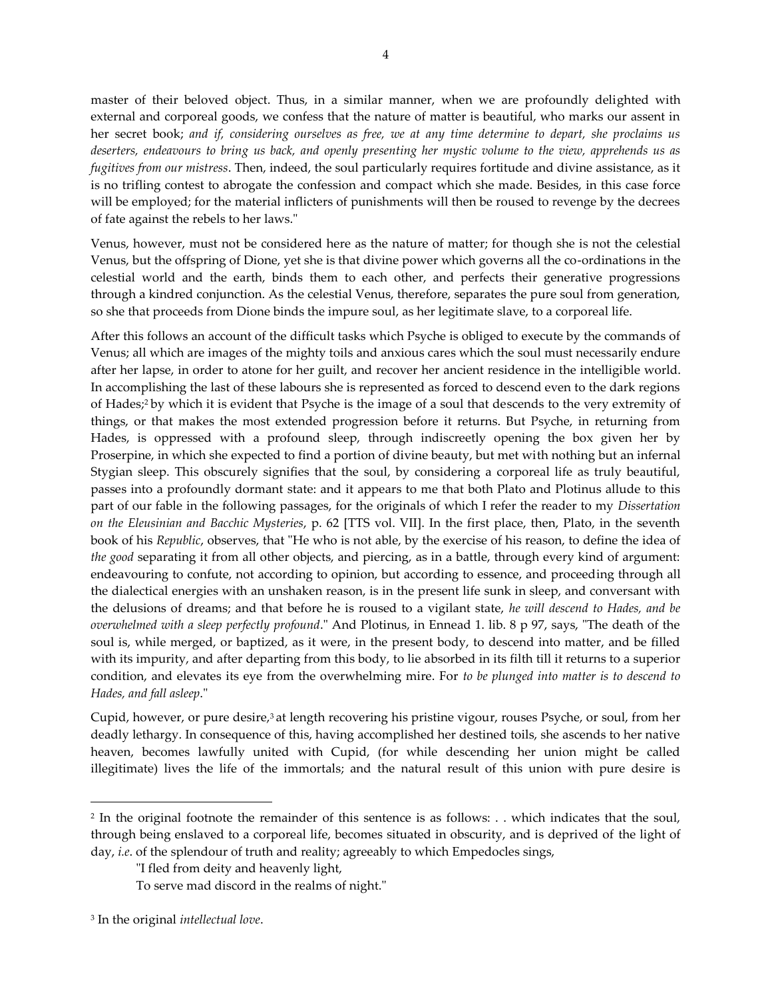master of their beloved object. Thus, in a similar manner, when we are profoundly delighted with external and corporeal goods, we confess that the nature of matter is beautiful, who marks our assent in her secret book; *and if, considering ourselves as free, we at any time determine to depart, she proclaims us deserters, endeavours to bring us back, and openly presenting her mystic volume to the view, apprehends us as fugitives from our mistress*. Then, indeed, the soul particularly requires fortitude and divine assistance, as it is no trifling contest to abrogate the confession and compact which she made. Besides, in this case force will be employed; for the material inflicters of punishments will then be roused to revenge by the decrees of fate against the rebels to her laws."

Venus, however, must not be considered here as the nature of matter; for though she is not the celestial Venus, but the offspring of Dione, yet she is that divine power which governs all the co-ordinations in the celestial world and the earth, binds them to each other, and perfects their generative progressions through a kindred conjunction. As the celestial Venus, therefore, separates the pure soul from generation, so she that proceeds from Dione binds the impure soul, as her legitimate slave, to a corporeal life.

After this follows an account of the difficult tasks which Psyche is obliged to execute by the commands of Venus; all which are images of the mighty toils and anxious cares which the soul must necessarily endure after her lapse, in order to atone for her guilt, and recover her ancient residence in the intelligible world. In accomplishing the last of these labours she is represented as forced to descend even to the dark regions of Hades;<sup>2</sup> by which it is evident that Psyche is the image of a soul that descends to the very extremity of things, or that makes the most extended progression before it returns. But Psyche, in returning from Hades, is oppressed with a profound sleep, through indiscreetly opening the box given her by Proserpine, in which she expected to find a portion of divine beauty, but met with nothing but an infernal Stygian sleep. This obscurely signifies that the soul, by considering a corporeal life as truly beautiful, passes into a profoundly dormant state: and it appears to me that both Plato and Plotinus allude to this part of our fable in the following passages, for the originals of which I refer the reader to my *Dissertation on the Eleusinian and Bacchic Mysteries*, p. 62 [TTS vol. VII]. In the first place, then, Plato, in the seventh book of his *Republic*, observes, that "He who is not able, by the exercise of his reason, to define the idea of *the good* separating it from all other objects, and piercing, as in a battle, through every kind of argument: endeavouring to confute, not according to opinion, but according to essence, and proceeding through all the dialectical energies with an unshaken reason, is in the present life sunk in sleep, and conversant with the delusions of dreams; and that before he is roused to a vigilant state, *he will descend to Hades, and be overwhelmed with a sleep perfectly profound*." And Plotinus, in Ennead 1. lib. 8 p 97, says, "The death of the soul is, while merged, or baptized, as it were, in the present body, to descend into matter, and be filled with its impurity, and after departing from this body, to lie absorbed in its filth till it returns to a superior condition, and elevates its eye from the overwhelming mire. For *to be plunged into matter is to descend to Hades, and fall asleep*."

Cupid, however, or pure desire,<sup>3</sup> at length recovering his pristine vigour, rouses Psyche, or soul, from her deadly lethargy. In consequence of this, having accomplished her destined toils, she ascends to her native heaven, becomes lawfully united with Cupid, (for while descending her union might be called illegitimate) lives the life of the immortals; and the natural result of this union with pure desire is

 $\overline{a}$ 

<sup>2</sup> In the original footnote the remainder of this sentence is as follows: . . which indicates that the soul, through being enslaved to a corporeal life, becomes situated in obscurity, and is deprived of the light of day, *i.e.* of the splendour of truth and reality; agreeably to which Empedocles sings,

<sup>&</sup>quot;I fled from deity and heavenly light,

To serve mad discord in the realms of night."

<sup>3</sup> In the original *intellectual love*.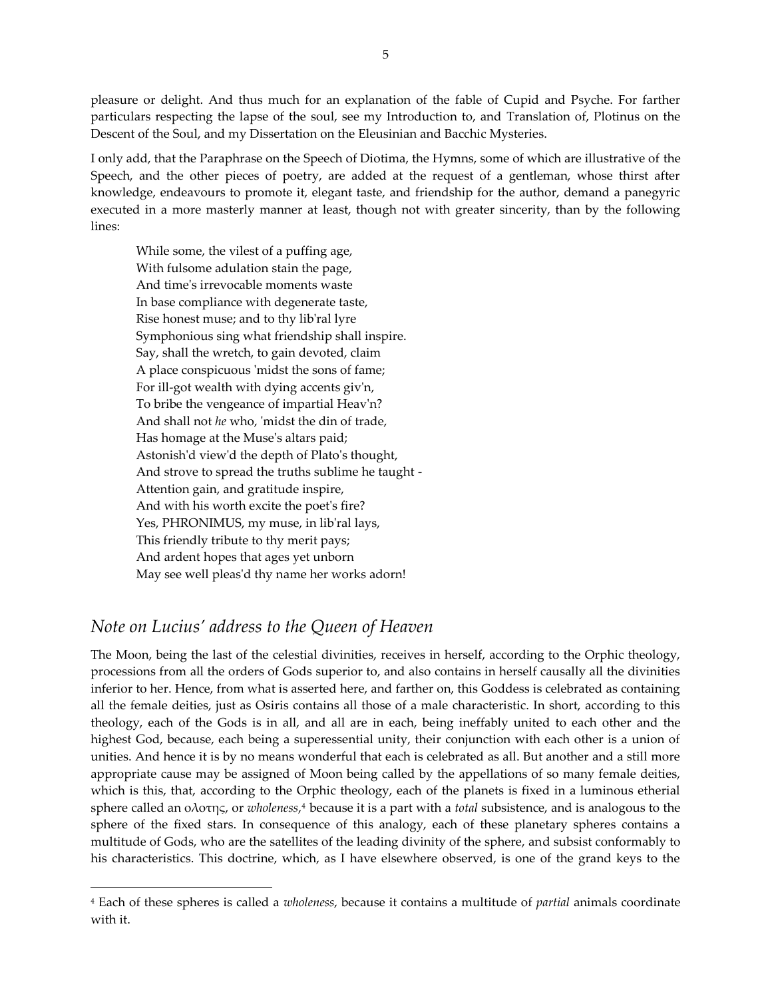pleasure or delight. And thus much for an explanation of the fable of Cupid and Psyche. For farther particulars respecting the lapse of the soul, see my Introduction to, and Translation of, Plotinus on the Descent of the Soul, and my Dissertation on the Eleusinian and Bacchic Mysteries.

I only add, that the Paraphrase on the Speech of Diotima, the Hymns, some of which are illustrative of the Speech, and the other pieces of poetry, are added at the request of a gentleman, whose thirst after knowledge, endeavours to promote it, elegant taste, and friendship for the author, demand a panegyric executed in a more masterly manner at least, though not with greater sincerity, than by the following lines:

While some, the vilest of a puffing age, With fulsome adulation stain the page, And time's irrevocable moments waste In base compliance with degenerate taste, Rise honest muse; and to thy lib'ral lyre Symphonious sing what friendship shall inspire. Say, shall the wretch, to gain devoted, claim A place conspicuous 'midst the sons of fame; For ill-got wealth with dying accents giv'n, To bribe the vengeance of impartial Heav'n? And shall not *he* who, 'midst the din of trade, Has homage at the Muse's altars paid; Astonish'd view'd the depth of Plato's thought, And strove to spread the truths sublime he taught - Attention gain, and gratitude inspire, And with his worth excite the poet's fire? Yes, PHRONIMUS, my muse, in lib'ral lays, This friendly tribute to thy merit pays; And ardent hopes that ages yet unborn May see well pleas'd thy name her works adorn!

### *Note on Lucius' address to the Queen of Heaven*

 $\overline{a}$ 

The Moon, being the last of the celestial divinities, receives in herself, according to the Orphic theology, processions from all the orders of Gods superior to, and also contains in herself causally all the divinities inferior to her. Hence, from what is asserted here, and farther on, this Goddess is celebrated as containing all the female deities, just as Osiris contains all those of a male characteristic. In short, according to this theology, each of the Gods is in all, and all are in each, being ineffably united to each other and the highest God, because, each being a superessential unity, their conjunction with each other is a union of unities. And hence it is by no means wonderful that each is celebrated as all. But another and a still more appropriate cause may be assigned of Moon being called by the appellations of so many female deities, which is this, that, according to the Orphic theology, each of the planets is fixed in a luminous etherial sphere called an oλoτης, or *wholeness*, <sup>4</sup> because it is a part with a *total* subsistence, and is analogous to the sphere of the fixed stars. In consequence of this analogy, each of these planetary spheres contains a multitude of Gods, who are the satellites of the leading divinity of the sphere, and subsist conformably to his characteristics. This doctrine, which, as I have elsewhere observed, is one of the grand keys to the

<sup>4</sup> Each of these spheres is called a *wholeness*, because it contains a multitude of *partial* animals coordinate with it.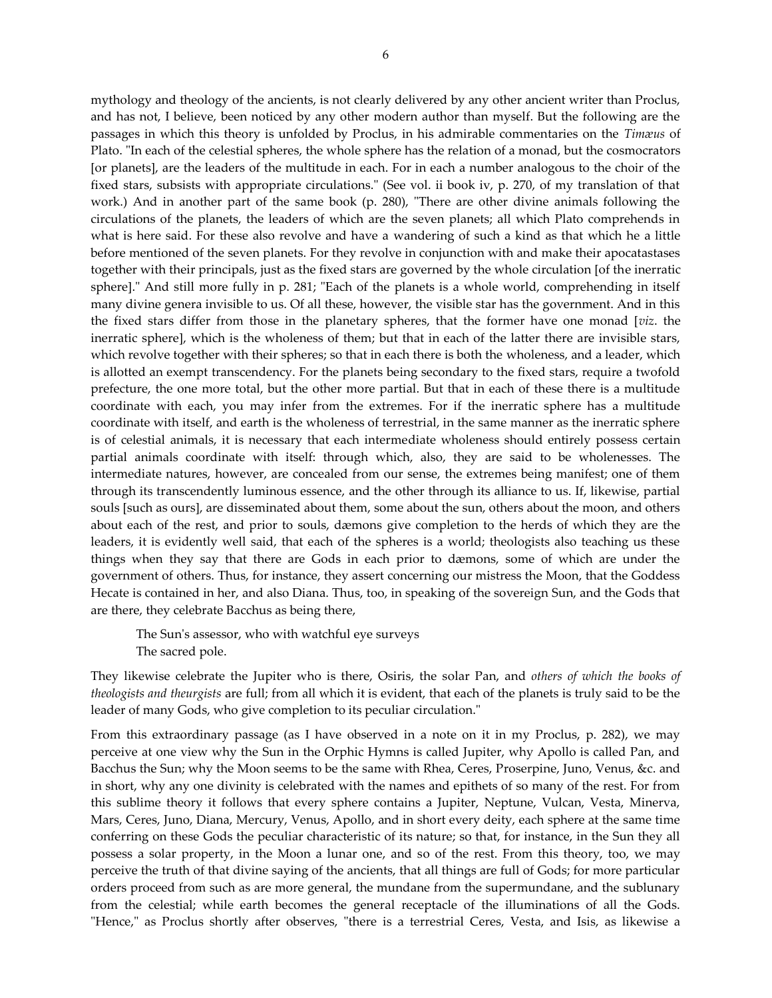mythology and theology of the ancients, is not clearly delivered by any other ancient writer than Proclus, and has not, I believe, been noticed by any other modern author than myself. But the following are the passages in which this theory is unfolded by Proclus, in his admirable commentaries on the *Timæus* of Plato. "In each of the celestial spheres, the whole sphere has the relation of a monad, but the cosmocrators [or planets], are the leaders of the multitude in each. For in each a number analogous to the choir of the fixed stars, subsists with appropriate circulations." (See vol. ii book iv, p. 270, of my translation of that work.) And in another part of the same book (p. 280), "There are other divine animals following the circulations of the planets, the leaders of which are the seven planets; all which Plato comprehends in what is here said. For these also revolve and have a wandering of such a kind as that which he a little before mentioned of the seven planets. For they revolve in conjunction with and make their apocatastases together with their principals, just as the fixed stars are governed by the whole circulation [of the inerratic sphere]." And still more fully in p. 281; "Each of the planets is a whole world, comprehending in itself many divine genera invisible to us. Of all these, however, the visible star has the government. And in this the fixed stars differ from those in the planetary spheres, that the former have one monad [*viz*. the inerratic sphere], which is the wholeness of them; but that in each of the latter there are invisible stars, which revolve together with their spheres; so that in each there is both the wholeness, and a leader, which is allotted an exempt transcendency. For the planets being secondary to the fixed stars, require a twofold prefecture, the one more total, but the other more partial. But that in each of these there is a multitude coordinate with each, you may infer from the extremes. For if the inerratic sphere has a multitude coordinate with itself, and earth is the wholeness of terrestrial, in the same manner as the inerratic sphere is of celestial animals, it is necessary that each intermediate wholeness should entirely possess certain partial animals coordinate with itself: through which, also, they are said to be wholenesses. The intermediate natures, however, are concealed from our sense, the extremes being manifest; one of them through its transcendently luminous essence, and the other through its alliance to us. If, likewise, partial souls [such as ours], are disseminated about them, some about the sun, others about the moon, and others about each of the rest, and prior to souls, dæmons give completion to the herds of which they are the leaders, it is evidently well said, that each of the spheres is a world; theologists also teaching us these things when they say that there are Gods in each prior to dæmons, some of which are under the government of others. Thus, for instance, they assert concerning our mistress the Moon, that the Goddess Hecate is contained in her, and also Diana. Thus, too, in speaking of the sovereign Sun, and the Gods that are there, they celebrate Bacchus as being there,

The Sun's assessor, who with watchful eye surveys The sacred pole.

They likewise celebrate the Jupiter who is there, Osiris, the solar Pan, and *others of which the books of theologists and theurgists* are full; from all which it is evident, that each of the planets is truly said to be the leader of many Gods, who give completion to its peculiar circulation."

From this extraordinary passage (as I have observed in a note on it in my Proclus, p. 282), we may perceive at one view why the Sun in the Orphic Hymns is called Jupiter, why Apollo is called Pan, and Bacchus the Sun; why the Moon seems to be the same with Rhea, Ceres, Proserpine, Juno, Venus, &c. and in short, why any one divinity is celebrated with the names and epithets of so many of the rest. For from this sublime theory it follows that every sphere contains a Jupiter, Neptune, Vulcan, Vesta, Minerva, Mars, Ceres, Juno, Diana, Mercury, Venus, Apollo, and in short every deity, each sphere at the same time conferring on these Gods the peculiar characteristic of its nature; so that, for instance, in the Sun they all possess a solar property, in the Moon a lunar one, and so of the rest. From this theory, too, we may perceive the truth of that divine saying of the ancients, that all things are full of Gods; for more particular orders proceed from such as are more general, the mundane from the supermundane, and the sublunary from the celestial; while earth becomes the general receptacle of the illuminations of all the Gods. "Hence," as Proclus shortly after observes, "there is a terrestrial Ceres, Vesta, and Isis, as likewise a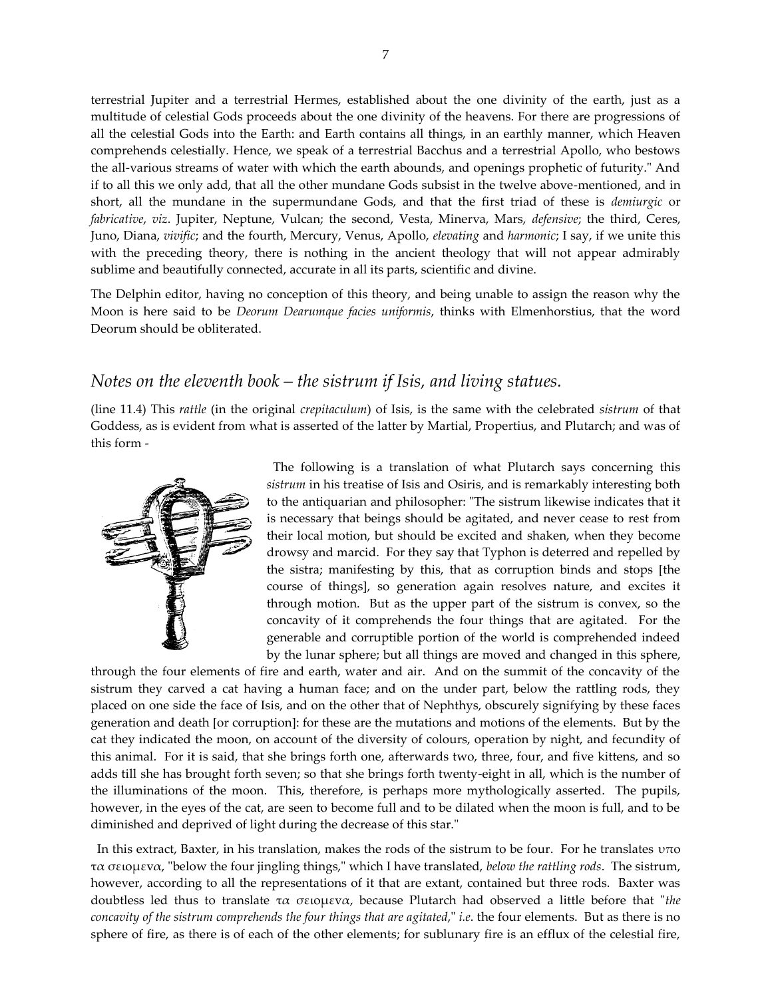terrestrial Jupiter and a terrestrial Hermes, established about the one divinity of the earth, just as a multitude of celestial Gods proceeds about the one divinity of the heavens. For there are progressions of all the celestial Gods into the Earth: and Earth contains all things, in an earthly manner, which Heaven comprehends celestially. Hence, we speak of a terrestrial Bacchus and a terrestrial Apollo, who bestows the all-various streams of water with which the earth abounds, and openings prophetic of futurity." And if to all this we only add, that all the other mundane Gods subsist in the twelve above-mentioned, and in short, all the mundane in the supermundane Gods, and that the first triad of these is *demiurgic* or *fabricative*, *viz*. Jupiter, Neptune, Vulcan; the second, Vesta, Minerva, Mars, *defensive*; the third, Ceres, Juno, Diana, *vivific*; and the fourth, Mercury, Venus, Apollo, *elevating* and *harmonic*; I say, if we unite this with the preceding theory, there is nothing in the ancient theology that will not appear admirably sublime and beautifully connected, accurate in all its parts, scientific and divine.

The Delphin editor, having no conception of this theory, and being unable to assign the reason why the Moon is here said to be *Deorum Dearumque facies uniformis*, thinks with Elmenhorstius, that the word Deorum should be obliterated.

### *Notes on the eleventh book – the sistrum if Isis, and living statues.*

(line 11.4) This *rattle* (in the original *crepitaculum*) of Isis, is the same with the celebrated *sistrum* of that Goddess, as is evident from what is asserted of the latter by Martial, Propertius, and Plutarch; and was of this form -



 The following is a translation of what Plutarch says concerning this *sistrum* in his treatise of Isis and Osiris, and is remarkably interesting both to the antiquarian and philosopher: "The sistrum likewise indicates that it is necessary that beings should be agitated, and never cease to rest from their local motion, but should be excited and shaken, when they become drowsy and marcid. For they say that Typhon is deterred and repelled by the sistra; manifesting by this, that as corruption binds and stops [the course of things], so generation again resolves nature, and excites it through motion. But as the upper part of the sistrum is convex, so the concavity of it comprehends the four things that are agitated. For the generable and corruptible portion of the world is comprehended indeed by the lunar sphere; but all things are moved and changed in this sphere,

through the four elements of fire and earth, water and air. And on the summit of the concavity of the sistrum they carved a cat having a human face; and on the under part, below the rattling rods, they placed on one side the face of Isis, and on the other that of Nephthys, obscurely signifying by these faces generation and death [or corruption]: for these are the mutations and motions of the elements. But by the cat they indicated the moon, on account of the diversity of colours, operation by night, and fecundity of this animal. For it is said, that she brings forth one, afterwards two, three, four, and five kittens, and so adds till she has brought forth seven; so that she brings forth twenty-eight in all, which is the number of the illuminations of the moon. This, therefore, is perhaps more mythologically asserted. The pupils, however, in the eyes of the cat, are seen to become full and to be dilated when the moon is full, and to be diminished and deprived of light during the decrease of this star."

 In this extract, Baxter, in his translation, makes the rods of the sistrum to be four. For he translates υπo τα σειoμεvα, "below the four jingling things," which I have translated, *below the rattling rods*. The sistrum, however, according to all the representations of it that are extant, contained but three rods. Baxter was doubtless led thus to translate τα σειoμεvα, because Plutarch had observed a little before that "*the concavity of the sistrum comprehends the four things that are agitated*," *i.e*. the four elements. But as there is no sphere of fire, as there is of each of the other elements; for sublunary fire is an efflux of the celestial fire,